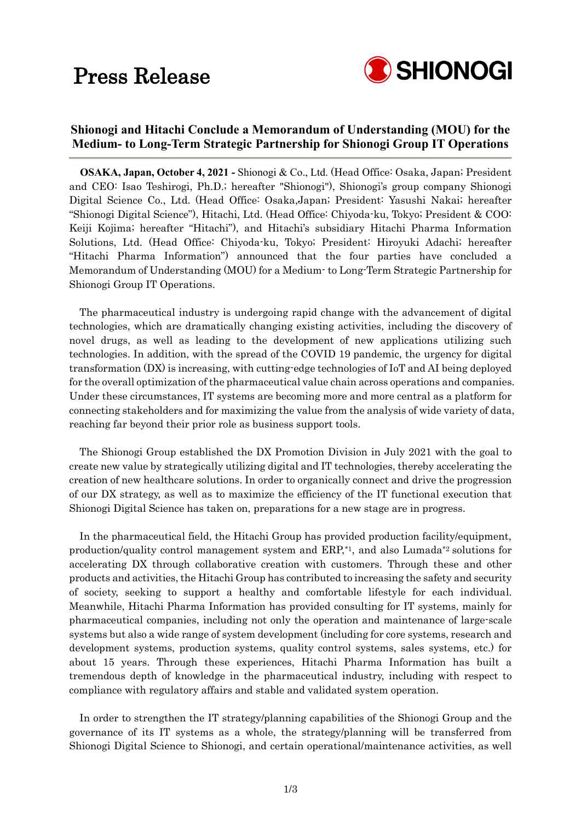### Press Release



### **Shionogi and Hitachi Conclude a Memorandum of Understanding (MOU) for the Medium- to Long-Term Strategic Partnership for Shionogi Group IT Operations**

**OSAKA, Japan, October 4, 2021 -** Shionogi & Co., Ltd. (Head Office: Osaka, Japan; President and CEO: Isao Teshirogi, Ph.D.; hereafter "Shionogi"), Shionogi's group company Shionogi Digital Science Co., Ltd. (Head Office: Osaka,Japan; President: Yasushi Nakai; hereafter "Shionogi Digital Science"), Hitachi, Ltd. (Head Office: Chiyoda-ku, Tokyo; President & COO: Keiji Kojima; hereafter "Hitachi"), and Hitachi's subsidiary Hitachi Pharma Information Solutions, Ltd. (Head Office: Chiyoda-ku, Tokyo; President: Hiroyuki Adachi; hereafter "Hitachi Pharma Information") announced that the four parties have concluded a Memorandum of Understanding (MOU) for a Medium- to Long-Term Strategic Partnership for Shionogi Group IT Operations.

The pharmaceutical industry is undergoing rapid change with the advancement of digital technologies, which are dramatically changing existing activities, including the discovery of novel drugs, as well as leading to the development of new applications utilizing such technologies. In addition, with the spread of the COVID 19 pandemic, the urgency for digital transformation (DX) is increasing, with cutting-edge technologies of IoT and AI being deployed for the overall optimization of the pharmaceutical value chain across operations and companies. Under these circumstances, IT systems are becoming more and more central as a platform for connecting stakeholders and for maximizing the value from the analysis of wide variety of data, reaching far beyond their prior role as business support tools.

The Shionogi Group established the DX Promotion Division in July 2021 with the goal to create new value by strategically utilizing digital and IT technologies, thereby accelerating the creation of new healthcare solutions. In order to organically connect and drive the progression of our DX strategy, as well as to maximize the efficiency of the IT functional execution that Shionogi Digital Science has taken on, preparations for a new stage are in progress.

In the pharmaceutical field, the Hitachi Group has provided production facility/equipment, production/quality control management system and ERP,\*1, and also Lumada\*2 solutions for accelerating DX through collaborative creation with customers. Through these and other products and activities, the Hitachi Group has contributed to increasing the safety and security of society, seeking to support a healthy and comfortable lifestyle for each individual. Meanwhile, Hitachi Pharma Information has provided consulting for IT systems, mainly for pharmaceutical companies, including not only the operation and maintenance of large-scale systems but also a wide range of system development (including for core systems, research and development systems, production systems, quality control systems, sales systems, etc.) for about 15 years. Through these experiences, Hitachi Pharma Information has built a tremendous depth of knowledge in the pharmaceutical industry, including with respect to compliance with regulatory affairs and stable and validated system operation.

In order to strengthen the IT strategy/planning capabilities of the Shionogi Group and the governance of its IT systems as a whole, the strategy/planning will be transferred from Shionogi Digital Science to Shionogi, and certain operational/maintenance activities, as well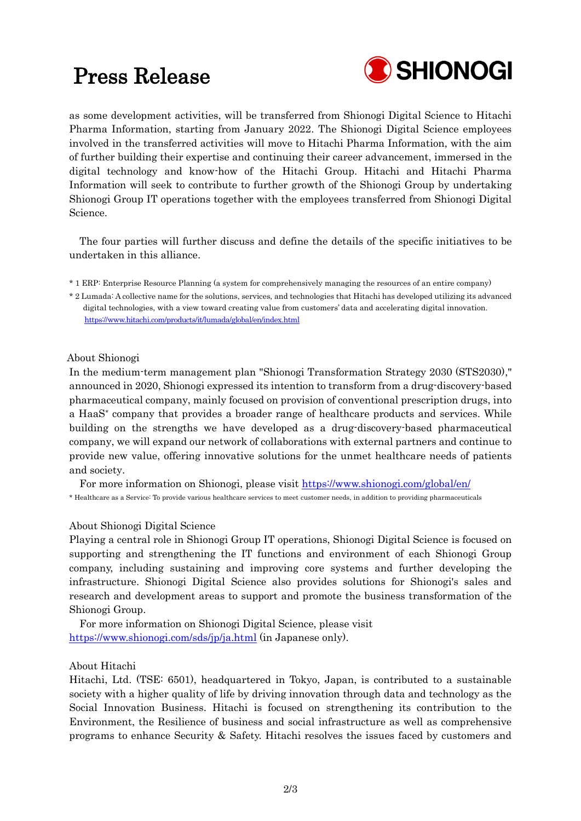# Press Release



as some development activities, will be transferred from Shionogi Digital Science to Hitachi Pharma Information, starting from January 2022. The Shionogi Digital Science employees involved in the transferred activities will move to Hitachi Pharma Information, with the aim of further building their expertise and continuing their career advancement, immersed in the digital technology and know-how of the Hitachi Group. Hitachi and Hitachi Pharma Information will seek to contribute to further growth of the Shionogi Group by undertaking Shionogi Group IT operations together with the employees transferred from Shionogi Digital Science.

The four parties will further discuss and define the details of the specific initiatives to be undertaken in this alliance.

\* 1 ERP: Enterprise Resource Planning (a system for comprehensively managing the resources of an entire company)

\* 2 Lumada: A collective name for the solutions, services, and technologies that Hitachi has developed utilizing its advanced digital technologies, with a view toward creating value from customers' data and accelerating digital innovation. <https://www.hitachi.com/products/it/lumada/global/en/index.html>

#### About Shionogi

In the medium-term management plan "Shionogi Transformation Strategy 2030 (STS2030)," announced in 2020, Shionogi expressed its intention to transform from a drug-discovery-based pharmaceutical company, mainly focused on provision of conventional prescription drugs, into a HaaS\* company that provides a broader range of healthcare products and services. While building on the strengths we have developed as a drug-discovery-based pharmaceutical company, we will expand our network of collaborations with external partners and continue to provide new value, offering innovative solutions for the unmet healthcare needs of patients and society.

For more information on Shionogi, please visit [https://www.shionogi.com/global/en/](https://www.shionogi.com/jp/ja/) \* Healthcare as a Service: To provide various healthcare services to meet customer needs, in addition to providing pharmaceuticals

#### About Shionogi Digital Science

Playing a central role in Shionogi Group IT operations, Shionogi Digital Science is focused on supporting and strengthening the IT functions and environment of each Shionogi Group company, including sustaining and improving core systems and further developing the infrastructure. Shionogi Digital Science also provides solutions for Shionogi's sales and research and development areas to support and promote the business transformation of the Shionogi Group.

For more information on Shionogi Digital Science, please visit <https://www.shionogi.com/sds/jp/ja.html> (in Japanese only).

#### About Hitachi

Hitachi, Ltd. (TSE: 6501), headquartered in Tokyo, Japan, is contributed to a sustainable society with a higher quality of life by driving innovation through data and technology as the Social Innovation Business. Hitachi is focused on strengthening its contribution to the Environment, the Resilience of business and social infrastructure as well as comprehensive programs to enhance Security & Safety. Hitachi resolves the issues faced by customers and